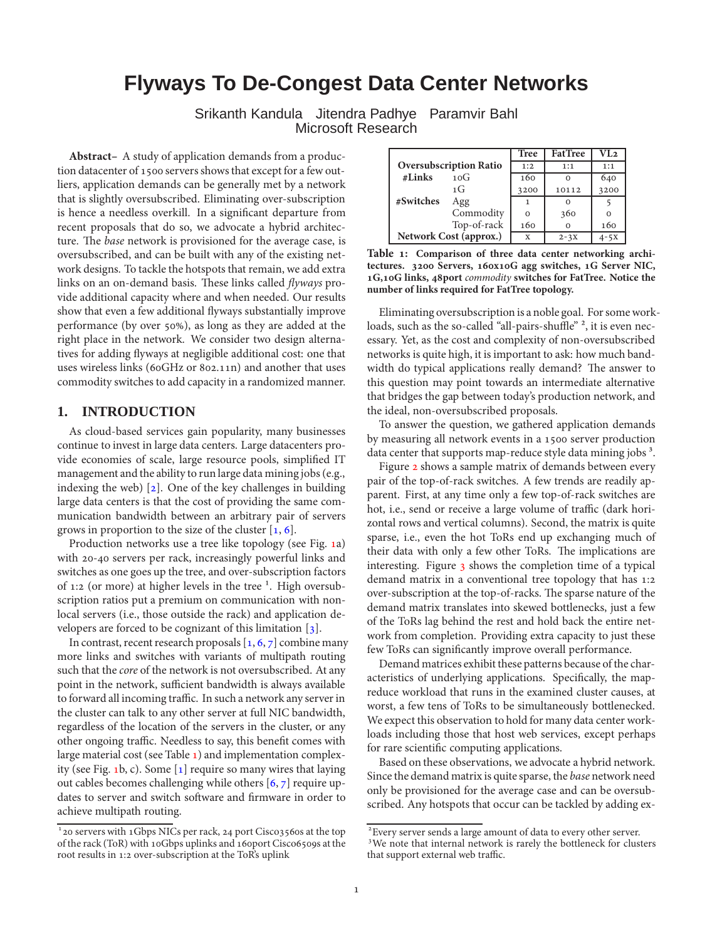# **Flyways To De-Congest Data Center Networks**

Srikanth Kandula Jitendra Padhye Paramvir Bahl Microsoft Research

**Abstract–** A study of application demands from a production datacenter of 1500 servers shows that except for a few outliers, application demands can be generally met by a network that is slightly oversubscribed. Eliminating over-subscription is hence a needless overkill. In a signicant departure from recent proposals that do so, we advocate a hybrid architecture. The base network is provisioned for the average case, is oversubscribed, and can be built with any of the existing network designs. To tackle the hotspots that remain, we add extra links on an on-demand basis. These links called *flyways* provide additional capacity where and when needed. Our results show that even a few additional flyways substantially improve performance (by over 50%), as long as they are added at the right place in the network. We consider two design alternatives for adding flyways at negligible additional cost: one that uses wireless links (6oGHz or 8o2.11n) and another that uses commodity switches to add capacity in a randomized manner.

## **1. INTRODUCTION**

As cloud-based services gain popularity, many businesses continue to invest in large data centers. Large datacenters provide economies of scale, large resource pools, simplified IT management and the ability to run large data mining jobs (e.g., indexing the web)  $[2]$ . One of the key challenges in building large data centers is that the cost of providing the same communication bandwidth between an arbitrary pair of servers grows in proportion to the size of the cluster  $[1, 6]$  $[1, 6]$ .

Production networks use a tree like topology (see Fig. [a](#page-1-0)) with 20-40 servers per rack, increasingly powerful links and switches as one goes up the tree, and over-subscription factors of 1:2 (or more) at higher levels in the tree  $1$ . High oversubscription ratios put a premium on communication with nonlocal servers (i.e., those outside the rack) and application developers are forced to be cognizant of this limitation  $[3]$ .

In contrast[,](#page-5-2) recent research proposals  $[1, 6, 7]$  $[1, 6, 7]$  combine many more links and switches with variants of multipath routing such that the *core* of the network is not oversubscribed. At any point in the network, sufficient bandwidth is always available to forward all incoming traffic. In such a network any server in the cluster can talk to any other server at full NIC bandwidth, regardless of the location of the servers in the cluster, or any other ongoing traffic. Needless to say, this benefit comes with large material cost (see Table  $\bf{1}$ [\)](#page-0-0) and implementation complexity (see Fig. 1[b](#page-1-0), c). Some  $[1]$  require so many wires that laying out cables becomes challenging while others  $[6, 7]$  $[6, 7]$  require updates to server and switch software and firmware in order to achieve multipath routing.

|                               |             | <b>Tree</b> | <b>FatTree</b> | VL2      |
|-------------------------------|-------------|-------------|----------------|----------|
| <b>Oversubscription Ratio</b> |             | 1:2         | 1:1            | 1:1      |
| $\#Links$                     | 10G         | 160         |                | 640      |
|                               | 1G          | 3200        | 10112          | 3200     |
| #Switches                     | Agg         | 1           |                |          |
|                               | Commodity   | $\Omega$    | 360            |          |
|                               | Top-of-rack | 160         | $\Omega$       | 160      |
| Network Cost (approx.)        |             | X           | $2 - 3X$       | $4 - 5X$ |

<span id="page-0-0"></span>**Table : Comparison of three data center networking archi**tectures. 3200 Servers, 160x10G agg switches, 1G Server NIC, 1G,10G links, 48port *commodity* switches for FatTree. Notice the **number of links required for FatTree topology.**

Eliminating oversubscription is a noble goal. For some workloads, such as the so-called "all-pairs-shuffle" <sup>2</sup>, it is even necessary. Yet, as the cost and complexity of non-oversubscribed networks is quite high, it is important to ask: how much bandwidth do typical applications really demand? The answer to this question may point towards an intermediate alternative that bridges the gap between today's production network, and the ideal, non-oversubscribed proposals.

To answer the question, we gathered application demands by measuring all network events in a 1500 server production data center that supports map-reduce style data mining jobs<sup>3</sup>.

Figure 2 shows a sample matrix of demands between every pair of the top-of-rack switches. A few trends are readily apparent. First, at any time only a few top-of-rack switches are hot, i.e., send or receive a large volume of traffic (dark horizontal rows and vertical columns). Second, the matrix is quite sparse, i.e., even the hot ToRs end up exchanging much of their data with only a few other ToRs. The implications are interesting. Figure 3 shows the completion time of a typical demand matrix in a conventional tree topology that has 1:2 over-subscription at the top-of-racks. The sparse nature of the demand matrix translates into skewed bottlenecks, just a few of the ToRs lag behind the rest and hold back the entire network from completion. Providing extra capacity to just these few ToRs can signicantly improve overall performance.

Demand matrices exhibit these patterns because of the characteristics of underlying applications. Specifically, the mapreduce workload that runs in the examined cluster causes, at worst, a few tens of ToRs to be simultaneously bottlenecked. We expect this observation to hold for many data center workloads including those that host web services, except perhaps for rare scientic computing applications.

Based on these observations, we advocate a hybrid network. Since the demand matrix is quite sparse, the base network need only be provisioned for the average case and can be oversubscribed. Any hotspots that occur can be tackled by adding ex-

<sup>&</sup>lt;sup>1</sup> 20 servers with 1Gbps NICs per rack, 24 port Cisco3560s at the top of the rack (ToR) with 10Gbps uplinks and 16oport Cisco6509s at the root results in 1:2 over-subscription at the ToR's uplink

<sup>&</sup>lt;sup>2</sup> Every server sends a large amount of data to every other server. <sup>3</sup>We note that internal network is rarely the bottleneck for clusters

that support external web traffic.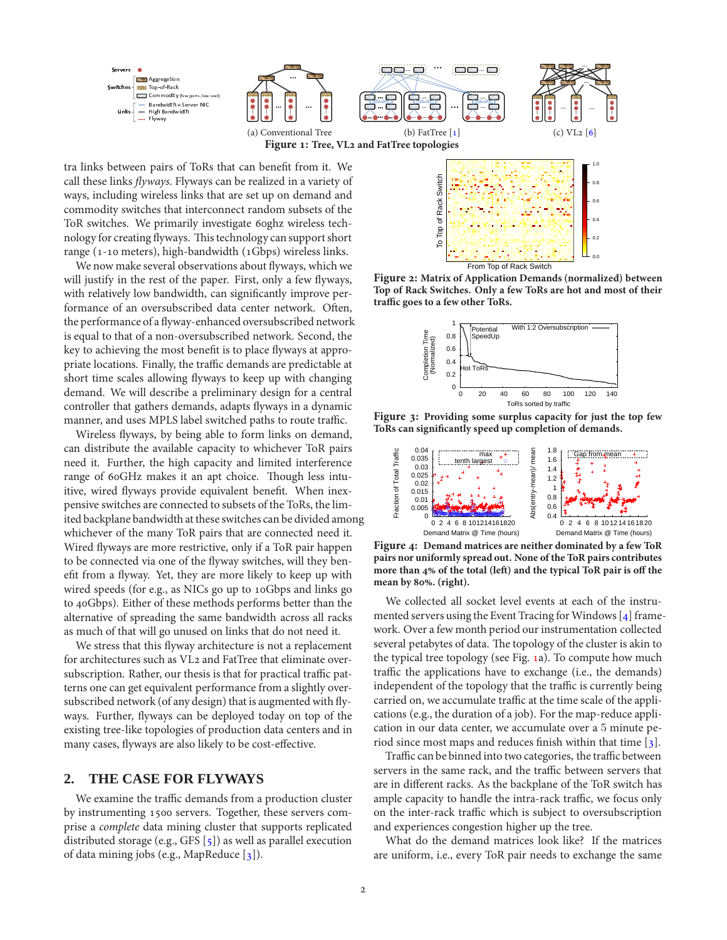<span id="page-1-0"></span>

(a) Conventional Tree (b) FatTree  $[1]$  (c) VL2  $[6]$ Figure 1: Tree, VL<sub>2</sub> and FatTree topologies

tra links between pairs of ToRs that can benefit from it. We call these links flyways. Flyways can be realized in a variety of ways, including wireless links that are set up on demand and commodity switches that interconnect random subsets of the ToR switches. We primarily investigate 6oghz wireless technology for creating flyways. This technology can support short range ( $1$ -10 meters), high-bandwidth ( $1Gbps$ ) wireless links.

We now make several observations about flyways, which we will justify in the rest of the paper. First, only a few flyways, with relatively low bandwidth, can significantly improve performance of an oversubscribed data center network. Often, the performance of a flyway-enhanced oversubscribed network is equal to that of a non-oversubscribed network. Second, the key to achieving the most benefit is to place flyways at appropriate locations. Finally, the traffic demands are predictable at short time scales allowing flyways to keep up with changing demand. We will describe a preliminary design for a central controller that gathers demands, adapts flyways in a dynamic manner, and uses MPLS label switched paths to route traffic.

Wireless flyways, by being able to form links on demand, can distribute the available capacity to whichever ToR pairs need it. Further, the high capacity and limited interference range of 60GHz makes it an apt choice. Though less intuitive, wired flyways provide equivalent benefit. When inexpensive switches are connected to subsets of the ToRs, the limited backplane bandwidth at these switches can be divided among whichever of the many ToR pairs that are connected need it. Wired flyways are more restrictive, only if a ToR pair happen to be connected via one of the flyway switches, will they benefit from a flyway. Yet, they are more likely to keep up with wired speeds (for e.g., as NICs go up to 10Gbps and links go to 40Gbps). Either of these methods performs better than the alternative of spreading the same bandwidth across all racks as much of that will go unused on links that do not need it.

We stress that this flyway architecture is not a replacement for architectures such as VL2 and FatTree that eliminate oversubscription. Rather, our thesis is that for practical traffic patterns one can get equivalent performance from a slightly oversubscribed network (of any design) that is augmented with flyways. Further, flyways can be deployed today on top of the existing tree-like topologies of production data centers and in many cases, flyways are also likely to be cost-effective.

### <span id="page-1-4"></span>**2. THE CASE FOR FLYWAYS**

We examine the traffic demands from a production cluster by instrumenting 1500 servers. Together, these servers comprise a complete data mining cluster that supports replicated distributed storage (e.g., GFS  $[5]$ ) as well as parallel execution of data mining jobs (e.g., MapReduce  $[3]$ ).



<span id="page-1-1"></span>Figure 2: Matrix of Application Demands (normalized) between **Top of Rack Switches. Only a few ToRs are hot and most of their** traffic goes to a few other ToRs.



<span id="page-1-2"></span>Figure 3: Providing some surplus capacity for just the top few **ToRs can signicantly speed up completion of demands.**



<span id="page-1-3"></span>Figure 4: Demand matrices are neither dominated by a few ToR **pairs nor uniformly spread out. None of the ToR pairs contributes** more than 4% of the total (left) and the typical ToR pair is off the mean by 80%. (right).

We collected all socket level events at each of the instrumented servers using the Event Tracing for Windows  $[4]$  framework. Over a few month period our instrumentation collected several petabytes of data. The topology of the cluster is akin to the typical tree topology (see Fig. [a](#page-1-0)). To compute how much traffic the applications have to exchange (i.e., the demands) independent of the topology that the traffic is currently being carried on, we accumulate traffic at the time scale of the applications (e.g., the duration of a job). For the map-reduce application in our data center, we accumulate over a 5 minute period since most maps and reduces finish within that time  $\lceil 3 \rceil$ .

Traffic can be binned into two categories, the traffic between servers in the same rack, and the traffic between servers that are in different racks. As the backplane of the ToR switch has ample capacity to handle the intra-rack traffic, we focus only on the inter-rack traffic which is subject to oversubscription and experiences congestion higher up the tree.

What do the demand matrices look like? If the matrices are uniform, i.e., every ToR pair needs to exchange the same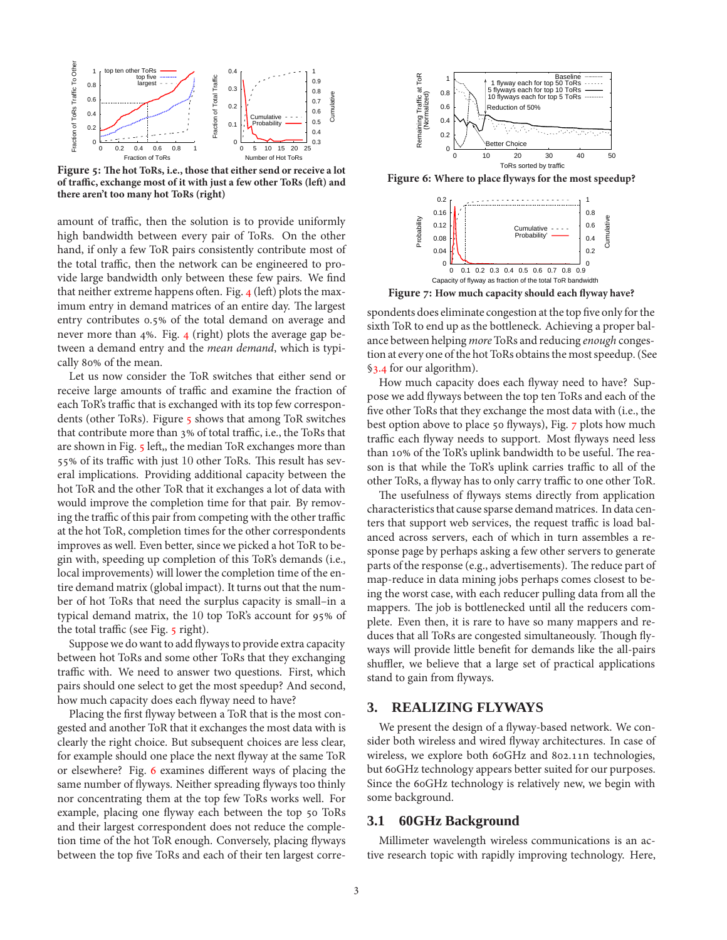

<span id="page-2-0"></span>Figure 5: The hot ToRs, i.e., those that either send or receive a lot of traffic, exchange most of it with just a few other ToRs (left) and **there aren't too many hot ToRs (right)**

amount of traffic, then the solution is to provide uniformly high bandwidth between every pair of ToRs. On the other hand, if only a few ToR pairs consistently contribute most of the total traffic, then the network can be engineered to provide large bandwidth only between these few pairs. We find that neither extreme happens often. Fig. 4 (left) plots the maximum entry in demand matrices of an entire day. The largest entry contributes 0.5% of the total demand on average and never more than 4%. Fig. 4 (right) plots the average gap between a demand entry and the *mean demand*, which is typically 80% of the mean.

Let us now consider the ToR switches that either send or receive large amounts of traffic and examine the fraction of each ToR's traffic that is exchanged with its top few correspondents (other ToRs). Figure 5 shows that among ToR switches that contribute more than 3% of total traffic, i.e., the ToRs that are shown in Fig. 5 left,, the median ToR exchanges more than 55% of its traffic with just 10 other ToRs. This result has several implications. Providing additional capacity between the hot ToR and the other ToR that it exchanges a lot of data with would improve the completion time for that pair. By removing the traffic of this pair from competing with the other traffic at the hot ToR, completion times for the other correspondents improves as well. Even better, since we picked a hot ToR to begin with, speeding up completion of this ToR's demands (i.e., local improvements) will lower the completion time of the entire demand matrix (global impact). It turns out that the number of hot ToRs that need the surplus capacity is small–in a typical demand matrix, the 10 top ToR's account for 95% of the total traffic (see Fig. 5 right).

Suppose we do want to add flyways to provide extra capacity between hot ToRs and some other ToRs that they exchanging traffic with. We need to answer two questions. First, which pairs should one select to get the most speedup? And second, how much capacity does each flyway need to have?

Placing the first flyway between a ToR that is the most congested and another ToR that it exchanges the most data with is clearly the right choice. But subsequent choices are less clear, for example should one place the next flyway at the same ToR or elsewhere? Fig. 6 examines different ways of placing the same number of flyways. Neither spreading flyways too thinly nor concentrating them at the top few ToRs works well. For example, placing one flyway each between the top 50 ToRs and their largest correspondent does not reduce the completion time of the hot ToR enough. Conversely, placing flyways between the top five ToRs and each of their ten largest corre-



<span id="page-2-1"></span>Figure 6: Where to place flyways for the most speedup?



Figure 7: How much capacity should each flyway have?

<span id="page-2-2"></span>spondents does eliminate congestion at the top five only for the sixth ToR to end up as the bottleneck. Achieving a proper balance between helping more ToRs and reducing enough congestion at every one of the hot ToRs obtains the most speedup. (See §3.4 for our algorithm).

How much capacity does each flyway need to have? Suppose we add flyways between the top ten ToRs and each of the five other ToRs that they exchange the most data with (i.e., the best option above to place 50 flyways), Fig. 7 plots how much traffic each flyway needs to support. Most flyways need less than 10% of the ToR's uplink bandwidth to be useful. The reason is that while the ToR's uplink carries traffic to all of the other ToRs, a flyway has to only carry traffic to one other ToR.

The usefulness of flyways stems directly from application characteristics that cause sparse demand matrices. In data centers that support web services, the request traffic is load balanced across servers, each of which in turn assembles a response page by perhaps asking a few other servers to generate parts of the response (e.g., advertisements). The reduce part of map-reduce in data mining jobs perhaps comes closest to being the worst case, with each reducer pulling data from all the mappers. The job is bottlenecked until all the reducers complete. Even then, it is rare to have so many mappers and reduces that all ToRs are congested simultaneously. Though flyways will provide little benefit for demands like the all-pairs shuffler, we believe that a large set of practical applications stand to gain from flyways.

#### **3. REALIZING FLYWAYS**

We present the design of a flyway-based network. We consider both wireless and wired flyway architectures. In case of wireless, we explore both 6oGHz and 802.11n technologies, but 60GHz technology appears better suited for our purposes. Since the 60GHz technology is relatively new, we begin with some background.

#### **3.1 60GHz Background**

Millimeter wavelength wireless communications is an active research topic with rapidly improving technology. Here,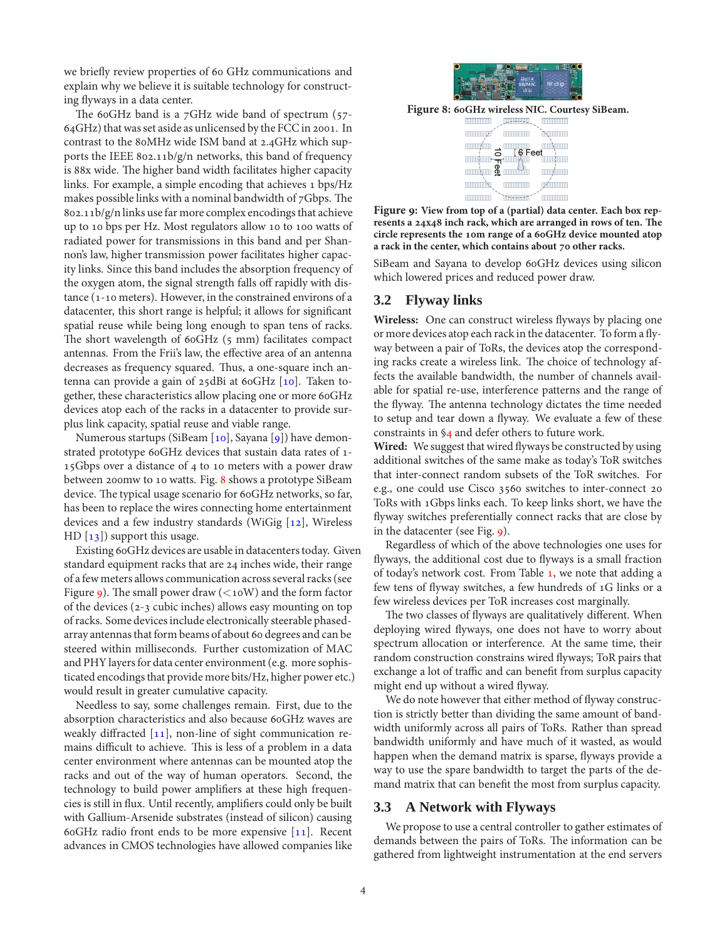we briefly review properties of 60 GHz communications and explain why we believe it is suitable technology for constructing flyways in a data center.

The 60GHz band is a  $7$ GHz wide band of spectrum (57- $64$ GHz) that was set aside as unlicensed by the FCC in 2001. In contrast to the 80MHz wide ISM band at 2.4GHz which supports the IEEE 802.11b/g/n networks, this band of frequency is 88x wide. The higher band width facilitates higher capacity links. For example, a simple encoding that achieves 1 bps/Hz makes possible links with a nominal bandwidth of  $7Gbps$ . The  $802.11b/g/n$  links use far more complex encodings that achieve up to 10 bps per Hz. Most regulators allow 10 to 100 watts of radiated power for transmissions in this band and per Shannon's law, higher transmission power facilitates higher capacity links. Since this band includes the absorption frequency of the oxygen atom, the signal strength falls off rapidly with dis $t$ ance ( $1$ -10 meters). However, in the constrained environs of a datacenter, this short range is helpful; it allows for signicant spatial reuse while being long enough to span tens of racks. The short wavelength of 6oGHz (5 mm) facilitates compact antennas. From the Frii's law, the effective area of an antenna decreases as frequency squared. Thus, a one-square inch antenna can provide a gain of  $25$ dBi at 60GHz  $[10]$ . Taken together, these characteristics allow placing one or more 60GHz devices atop each of the racks in a datacenter to provide surplus link capacity, spatial reuse and viable range.

Numerous startups (SiBeam [10], Sayana [9]) have demonstrated prototype 60GHz devices that sustain data rates of 1- $15Gbps$  over a distance of 4 to 10 meters with a power draw between 200mw to 10 watts. Fig. 8 shows a prototype SiBeam device. The typical usage scenario for 60GHz networks, so far, has been to replace the wires connecting home entertainment devices and a few industry standards (WiGig  $[12]$ , Wireless HD  $[13]$ ) support this usage.

Existing 60GHz devices are usable in datacenters today. Given standard equipment racks that are 24 inches wide, their range of a few meters allows communication across several racks (see Figure 9[\)](#page-3-1). The small power draw ( $\lt$ 10W) and the form factor of the devices  $(2-3$  cubic inches) allows easy mounting on top of racks. Some devices include electronically steerable phasedarray antennas that form beams of about 60 degrees and can be steered within milliseconds. Further customization of MAC and PHY layers for data center environment (e.g. more sophisticated encodings that provide more bits/Hz, higher power etc.) would result in greater cumulative capacity.

Needless to say, some challenges remain. First, due to the absorption characteristics and also because 60GHz waves are weakly diffracted  $[11]$ , non-line of sight communication remains difficult to achieve. This is less of a problem in a data center environment where antennas can be mounted atop the racks and out of the way of human operators. Second, the technology to build power amplifiers at these high frequencies is still in flux. Until recently, amplifiers could only be built with Gallium-Arsenide substrates (instead of silicon) causing 60GHz radio front ends to be more expensive  $[11]$ . Recent advances in CMOS technologies have allowed companies like



<span id="page-3-0"></span>Figure 8: 60GHz wireless NIC. Courtesy SiBeam.

|    | $+$ $+$ $+$   |                        |
|----|---------------|------------------------|
|    |               | $\mathcal{N}_{\infty}$ |
|    | <b>6</b> Feet |                        |
| ဨ  |               | ı                      |
| ×. |               | $\epsilon$             |
|    |               |                        |

<span id="page-3-1"></span>Figure 9: View from top of a (partial) data center. Each box represents a 24x48 inch rack, which are arranged in rows of ten. The circle represents the 10m range of a 60GHz device mounted atop a rack in the center, which contains about 70 other racks.

SiBeam and Sayana to develop 6oGHz devices using silicon which lowered prices and reduced power draw.

## **3.2 Flyway links**

Wireless: One can construct wireless flyways by placing one or more devices atop each rack in the datacenter. To form a flyway between a pair of ToRs, the devices atop the corresponding racks create a wireless link. The choice of technology affects the available bandwidth, the number of channels available for spatial re-use, interference patterns and the range of the flyway. The antenna technology dictates the time needed to setup and tear down a flyway. We evaluate a few of these constraints in  $\S$ 4 and defer others to future work.

**Wired:** We suggest that wired flyways be constructed by using additional switches of the same make as today's ToR switches that inter-connect random subsets of the ToR switches. For e.g., one could use Cisco 3560 switches to inter-connect 20 ToRs with 1Gbps links each. To keep links short, we have the flyway switches preferentially connect racks that are close by in the datacenter (see Fig.  $9$ [\)](#page-3-1).

Regardless of which of the above technologies one uses for flyways, the additional cost due to flyways is a small fraction of today's network cost. From Table 1[,](#page-0-0) we note that adding a few tens of flyway switches, a few hundreds of 1G links or a few wireless devices per ToR increases cost marginally.

The two classes of flyways are qualitatively different. When deploying wired flyways, one does not have to worry about spectrum allocation or interference. At the same time, their random construction constrains wired flyways; ToR pairs that exchange a lot of traffic and can benefit from surplus capacity might end up without a wired flyway.

We do note however that either method of flyway construction is strictly better than dividing the same amount of bandwidth uniformly across all pairs of ToRs. Rather than spread bandwidth uniformly and have much of it wasted, as would happen when the demand matrix is sparse, flyways provide a way to use the spare bandwidth to target the parts of the demand matrix that can benefit the most from surplus capacity.

#### **3.3 A Network with Flyways**

We propose to use a central controller to gather estimates of demands between the pairs of ToRs. The information can be gathered from lightweight instrumentation at the end servers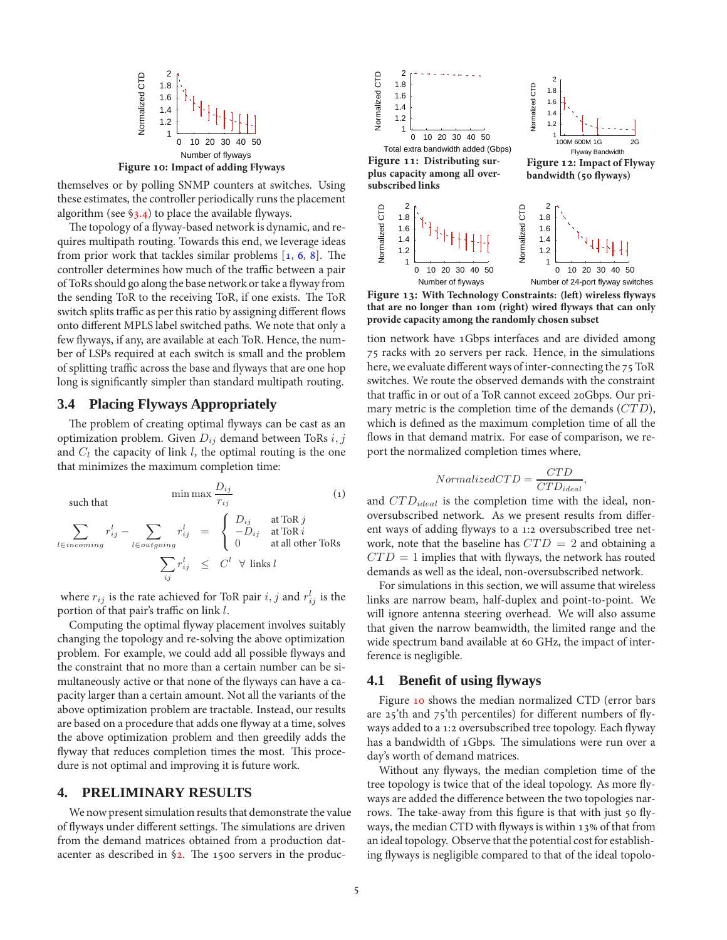

<span id="page-4-2"></span>themselves or by polling SNMP counters at switches. Using these estimates, the controller periodically runs the placement algorithm (see  $\S$ 3.4) to place the available flyways.

The topology of a flyway-based network is dynamic, and requires multipath routing. Towards this end, we leverage ideas from prior work that tackles similar problems  $[1, 6, 8]$  $[1, 6, 8]$  $[1, 6, 8]$  $[1, 6, 8]$ . The controller determines how much of the traffic between a pair of ToRs should go along the base network or take a flyway from the sending ToR to the receiving ToR, if one exists. The ToR switch splits traffic as per this ratio by assigning different flows onto different MPLS label switched paths. We note that only a few flyways, if any, are available at each ToR. Hence, the number of LSPs required at each switch is small and the problem of splitting traffic across the base and flyways that are one hop long is significantly simpler than standard multipath routing.

### <span id="page-4-0"></span>**3.4 Placing Flyways Appropriately**

The problem of creating optimal flyways can be cast as an optimization problem. Given  $D_{ij}$  demand between ToRs  $i, j$ and  $C_l$  the capacity of link l, the optimal routing is the one that minimizes the maximum completion time:

 $\min$  max  $\frac{D_{ij}}{2}$ rij  $\left(1\right)$ such that  $\sum$ l∈incoming  $r_{ij}^l$  –  $\sum$ l∈outgoing  $r_{ij}^l \quad = \quad$  $\sqrt{2}$  $\int$  $\mathcal{L}$  $D_{ij}$  at ToR j  $-D_{ij}$  at ToR i 0 at all other ToRs  $\sum$ ij  $r_{ij}^l \quad\leq\quad C^l \quad\forall\,\text{ links } l$ 

where  $r_{ij}$  is the rate achieved for ToR pair  $i, j$  and  $r_{ij}^l$  is the portion of that pair's traffic on link  $l$ .

Computing the optimal flyway placement involves suitably changing the topology and re-solving the above optimization problem. For example, we could add all possible flyways and the constraint that no more than a certain number can be simultaneously active or that none of the flyways can have a capacity larger than a certain amount. Not all the variants of the above optimization problem are tractable. Instead, our results are based on a procedure that adds one flyway at a time, solves the above optimization problem and then greedily adds the flyway that reduces completion times the most. This procedure is not optimal and improving it is future work.

#### <span id="page-4-1"></span>**4. PRELIMINARY RESULTS**

We now present simulation results that demonstrate the value of flyways under different settings. The simulations are driven from the demand matrices obtained from a production datacenter as described in  $\S$ 2. The 1500 servers in the produc-

<span id="page-4-3"></span>

<span id="page-4-4"></span>Number of flyways Number of 24-port flyway switches

<span id="page-4-5"></span>Figure 13: With Technology Constraints: (left) wireless flyways that are no longer than 10m (right) wired flyways that can only **provide capacity among the randomly chosen subset**

tion network have 1Gbps interfaces and are divided among 75 racks with 20 servers per rack. Hence, in the simulations here, we evaluate different ways of inter-connecting the 75 ToR switches. We route the observed demands with the constraint that traffic in or out of a ToR cannot exceed 20Gbps. Our primary metric is the completion time of the demands (CTD), which is defined as the maximum completion time of all the flows in that demand matrix. For ease of comparison, we report the normalized completion times where,

$$
Normalized CTD = \frac{CTD}{CTD_{ideal}},
$$

and  $CTD_{ideal}$  is the completion time with the ideal, nonoversubscribed network. As we present results from different ways of adding flyways to a 1:2 oversubscribed tree network, note that the baseline has  $CTD = 2$  and obtaining a  $CTD = 1$  implies that with flyways, the network has routed demands as well as the ideal, non-oversubscribed network.

For simulations in this section, we will assume that wireless links are narrow beam, half-duplex and point-to-point. We will ignore antenna steering overhead. We will also assume that given the narrow beamwidth, the limited range and the wide spectrum band available at 60 GHz, the impact of interference is negligible.

#### **4.1 Benefit of using flyways**

Figure 10 shows the median normalized CTD (error bars are  $25'$ th and  $75'$ th percentiles) for different numbers of flyways added to a 1:2 oversubscribed tree topology. Each flyway has a bandwidth of 1Gbps. The simulations were run over a day's worth of demand matrices.

Without any flyways, the median completion time of the tree topology is twice that of the ideal topology. As more flyways are added the difference between the two topologies narrows. The take-away from this figure is that with just 50 flyways, the median CTD with flyways is within  $13\%$  of that from an ideal topology. Observe that the potential cost for establishing flyways is negligible compared to that of the ideal topolo